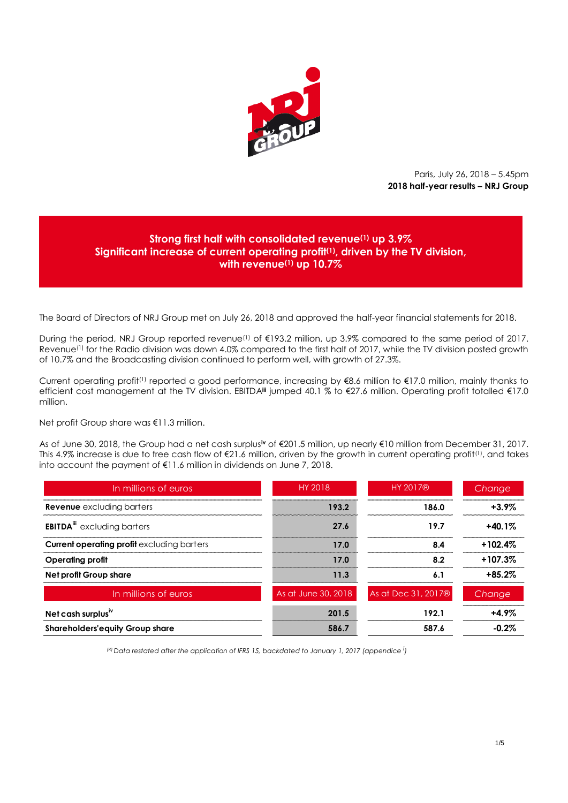

Paris, July 26, 2018 – 5.45pm **2018 half-year results – NRJ Group**

# **Strong first half with consolidated revenue(1) up 3.9% Significant increase of current operating profit(1), driven by the TV division, with revenue(1) up 10.7%**

The Board of Directors of NRJ Group met on July 26, 2018 and approved the half-year financial statements for 2018.

During the period, NRJ Group reported revenue<sup>(1)</sup> of €193.2 million, up 3.9% compared to the same period of 2017. Revenue<sup>(1)</sup> for the Radio division was down 4.0% compared to the first half of 2017, while the TV division posted growth of 10.7% and the Broadcasting division continued to perform well, with growth of 27.3%.

Current operating profit<sup>(1)</sup> reported a good performance, increasing by €8.6 million to €17.0 million, mainly thanks to efficient cost management at the TV division. EBITDA**iii** jumped 40.1 % to €27.6 million. Operating profit totalled €17.0 million.

Net profit Group share was €11.3 million.

As of June 30, 2018, the Group had a net cash surplus**iv** of €201.5 million, up nearly €10 million from December 31, 2017. This 4.9% increase is due to free cash flow of  $\epsilon$ 21.6 million, driven by the growth in current operating profit<sup>(1)</sup>, and takes into account the payment of €11.6 million in dividends on June 7, 2018.

| In millions of euros                              | HY 2018             | <b>HY 2017®</b>                 | Change    |
|---------------------------------------------------|---------------------|---------------------------------|-----------|
| <b>Revenue</b> excluding barters                  | 193.2               | 186.0                           | $+3.9\%$  |
| <b>EBITDA</b> <sup>III</sup> excluding barters    | 27 K                | 19.7                            | $+40.1%$  |
| <b>Current operating profit excluding barters</b> | 17 O                | 84                              | $+102.4%$ |
| Operating profit                                  | 17.0                | 8.2                             | $+107.3%$ |
| Net profit Group share                            | 11.3                | Ō.                              | $+85.2%$  |
| In millions of euros                              | As at June 30, 2018 | As at Dec 31, 2017 <sup>®</sup> | Change    |
| Net cash surplus <sup><math>w</math></sup>        | 201.5               | 192.1                           | $+4.9\%$  |
| <b>Shareholders'equity Group share</b>            | 586.7               | 587.6                           | -0.2%     |

*(R) Data restated after the application of IFRS 15, backdated to January 1, 2017 (appendice <sup>i</sup> )*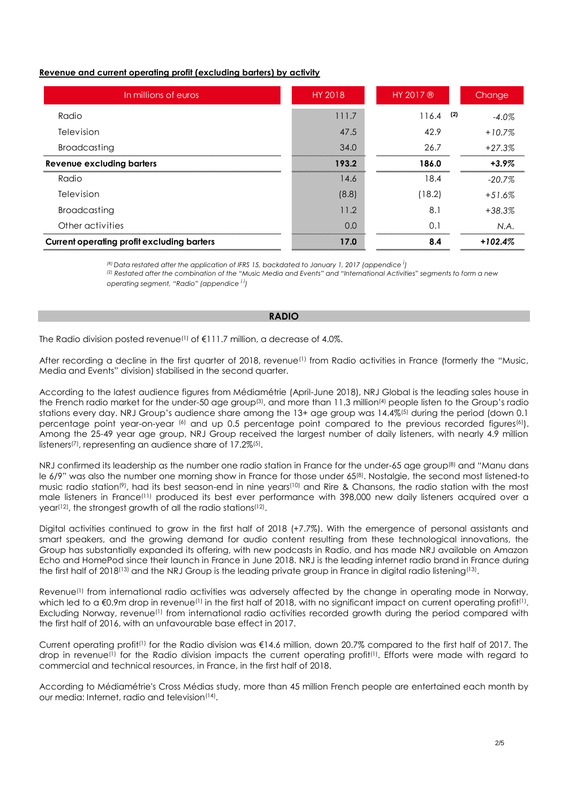# **Revenue and current operating profit (excluding barters) by activity**

| In millions of euros                       | HY 2018 | HY 2017 ®    | Change    |
|--------------------------------------------|---------|--------------|-----------|
| Radio                                      | 111.7   | (2)<br>116.4 | $-4.0\%$  |
| Television                                 | 47.5    | 42.9         | $+10.7%$  |
| <b>Broadcasting</b>                        | 34.0    | 26.7         | $+27.3%$  |
| Revenue excluding barters                  | 193.2   | 186.0        | $+3.9\%$  |
| Radio                                      | 14.6    | 18.4         | $-20.7\%$ |
| Television                                 | (8.8)   | (18.2)       | $+51.6%$  |
| <b>Broadcasting</b>                        | 11.2    | 8.1          | $+38.3%$  |
| Other activities                           | 0.0     | 0.1          | N.A.      |
| Current operating profit excluding barters | 17.0    | 8.4          | $+102.4%$ |

 $R$ <sup>2</sup> ( $R$ ) *Data restated after the application of IFRS 15, backdated to January 1, 2017 (appendice*  $\dot{R}$ 

*(2) Restated after the combination of the "Music Media and Events" and "International Activities" segments to form a new operating segment, "Radio" (appendice i i)*

## **RADIO**

The Radio division posted revenue<sup>(1)</sup> of €111.7 million, a decrease of 4.0%.

After recording a decline in the first quarter of 2018, revenue<sup>(1)</sup> from Radio activities in France (formerly the "Music, Media and Events" division) stabilised in the second quarter.

According to the latest audience figures from Médiamétrie (April-June 2018), NRJ Global is the leading sales house in the French radio market for the under-50 age group<sup>(3)</sup>, and more than 11.3 million<sup>(4)</sup> people listen to the Group's radio stations every day. NRJ Group's audience share among the 13+ age group was 14.4%(5) during the period (down 0.1 percentage point year-on-year (6) and up 0.5 percentage point compared to the previous recorded figures(6). Among the 25-49 year age group, NRJ Group received the largest number of daily listeners, with nearly 4.9 million listeners<sup>(7)</sup>, representing an audience share of 17.2%<sup>(5)</sup>.

NRJ confirmed its leadership as the number one radio station in France for the under-65 age group(8) and "Manu dans le 6/9" was also the number one morning show in France for those under 65<sup>(8)</sup>. Nostalgie, the second most listened-to music radio station(9), had its best season-end in nine years(10) and Rire & Chansons, the radio station with the most male listeners in France(11) produced its best ever performance with 398,000 new daily listeners acquired over a year(12), the strongest growth of all the radio stations(12) .

Digital activities continued to grow in the first half of 2018 (+7.7%). With the emergence of personal assistants and smart speakers, and the growing demand for audio content resulting from these technological innovations, the Group has substantially expanded its offering, with new podcasts in Radio, and has made NRJ available on Amazon Echo and HomePod since their launch in France in June 2018. NRJ is the leading internet radio brand in France during the first half of 2018(13) and the NRJ Group is the leading private group in France in digital radio listening(13).

Revenue<sup>(1)</sup> from international radio activities was adversely affected by the change in operating mode in Norway, which led to a €0.9m drop in revenue(1) in the first half of 2018, with no significant impact on current operating profit(1). Excluding Norway, revenue<sup>(1)</sup> from international radio activities recorded growth during the period compared with the first half of 2016, with an unfavourable base effect in 2017.

Current operating profit<sup>(1)</sup> for the Radio division was  $\epsilon$ 14.6 million, down 20.7% compared to the first half of 2017. The drop in revenue<sup>(1)</sup> for the Radio division impacts the current operating profit<sup>(1)</sup>. Efforts were made with regard to commercial and technical resources, in France, in the first half of 2018.

According to Médiamétrie's Cross Médias study, more than 45 million French people are entertained each month by our media: Internet, radio and television(14) .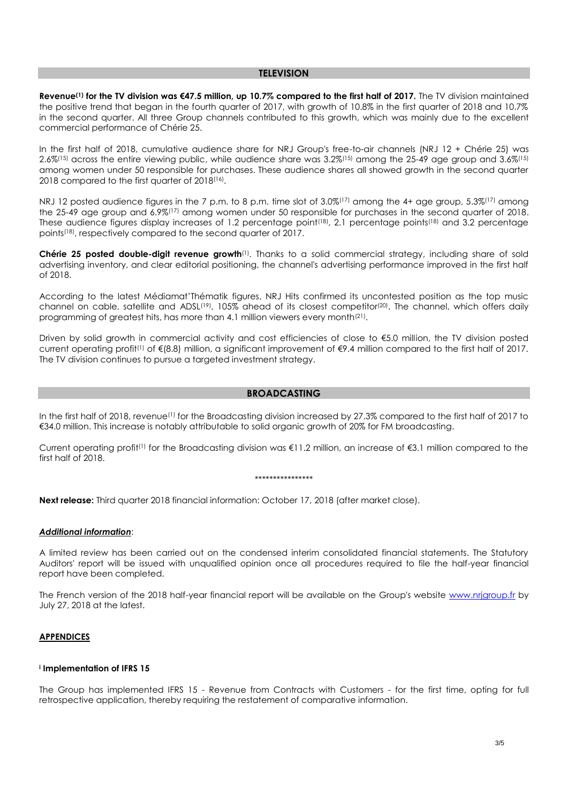## **TELEVISION**

**Revenue(1) for the TV division was €47.5 million, up 10.7% compared to the first half of 2017.** The TV division maintained the positive trend that began in the fourth quarter of 2017, with growth of 10.8% in the first quarter of 2018 and 10.7% in the second quarter. All three Group channels contributed to this growth, which was mainly due to the excellent commercial performance of Chérie 25.

In the first half of 2018, cumulative audience share for NRJ Group's free-to-air channels (NRJ 12 + Chérie 25) was  $2.6\%$ <sup>(15)</sup> across the entire viewing public, while audience share was  $3.2\%$ <sup>(15)</sup> among the 25-49 age group and  $3.6\%$ <sup>(15)</sup> among women under 50 responsible for purchases. These audience shares all showed growth in the second quarter 2018 compared to the first quarter of 2018(16) .

NRJ 12 posted audience figures in the 7 p.m. to 8 p.m. time slot of 3.0%<sup>(17)</sup> among the 4+ age group, 5.3%<sup>(17)</sup> among the 25-49 age group and 6.9%(17) among women under 50 responsible for purchases in the second quarter of 2018. These audience figures display increases of 1.2 percentage point<sup>(18)</sup>, 2.1 percentage points<sup>(18)</sup> and 3.2 percentage points(18) , respectively compared to the second quarter of 2017.

**Chérie 25 posted double-digit revenue growth**(1). Thanks to a solid commercial strategy, including share of sold advertising inventory, and clear editorial positioning, the channel's advertising performance improved in the first half of 2018.

According to the latest Médiamat'Thématik figures, NRJ Hits confirmed its uncontested position as the top music channel on cable, satellite and ADSL<sup>(19)</sup>, 105% ahead of its closest competitor<sup>(20)</sup>. The channel, which offers daily programming of greatest hits, has more than 4.1 million viewers every month<sup>(21)</sup>.

Driven by solid growth in commercial activity and cost efficiencies of close to €5.0 million, the TV division posted current operating profit<sup>(1)</sup> of €(8.8) million, a significant improvement of €9.4 million compared to the first half of 2017. The TV division continues to pursue a targeted investment strategy.

## **BROADCASTING**

In the first half of 2018, revenue<sup>(1)</sup> for the Broadcasting division increased by 27.3% compared to the first half of 2017 to €34.0 million. This increase is notably attributable to solid organic growth of 20% for FM broadcasting.

Current operating profit<sup>(1)</sup> for the Broadcasting division was  $\epsilon$ 11.2 million, an increase of  $\epsilon$ 3.1 million compared to the first half of 2018.

#### \*\*\*\*\*\*\*\*\*\*\*\*\*\*\*\*

**Next release:** Third quarter 2018 financial information: October 17, 2018 (after market close).

## *Additional information*:

A limited review has been carried out on the condensed interim consolidated financial statements. The Statutory Auditors' report will be issued with unqualified opinion once all procedures required to file the half-year financial report have been completed.

The French version of the 2018 half-year financial report will be available on the Group's website [www.nrjgroup.fr](http://www.nrjgroup.fr/) by July 27, 2018 at the latest.

#### **APPENDICES**

#### **i Implementation of IFRS 15**

The Group has implemented IFRS 15 - Revenue from Contracts with Customers - for the first time, opting for full retrospective application, thereby requiring the restatement of comparative information.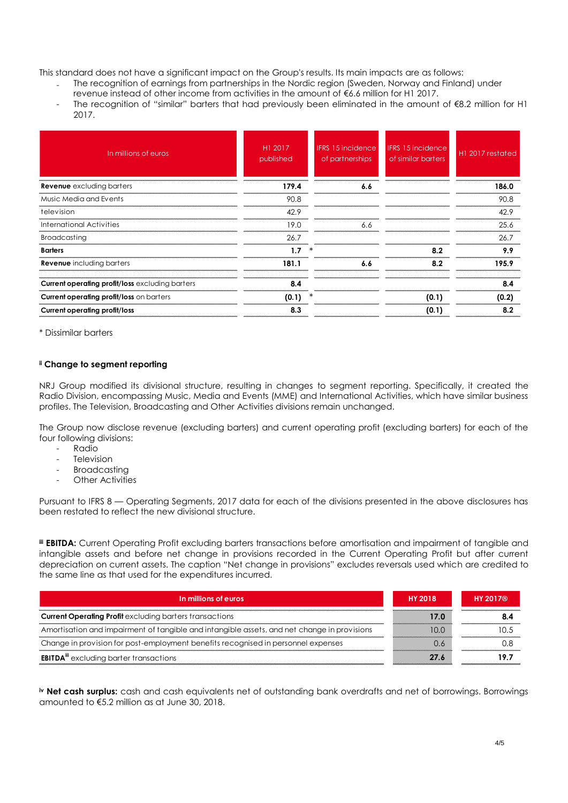This standard does not have a significant impact on the Group's results. Its main impacts are as follows:

- ₋ The recognition of earnings from partnerships in the Nordic region (Sweden, Norway and Finland) under revenue instead of other income from activities in the amount of €6.6 million for H1 2017.
- The recognition of "similar" barters that had previously been eliminated in the amount of €8.2 million for H1 2017.

| In millions of euros                                   | H1 2017<br>published | <b>IFRS 15 incidence</b><br>of partnerships | <b>IFRS 15 incidence</b><br>of similar barters | H1 2017 restated |
|--------------------------------------------------------|----------------------|---------------------------------------------|------------------------------------------------|------------------|
| <b>Revenue</b> excluding barters                       | 179.4                | 6.6                                         |                                                | 186.0            |
| Music Media and Events                                 | 90.8                 |                                             |                                                | 90.8             |
| television                                             | 42.9                 |                                             |                                                | 42.9             |
| International Activities                               | 19.0                 | 6.6                                         |                                                | 25.6             |
| Broadcasting                                           | 26.7                 |                                             |                                                | 26.7             |
| <b>Barters</b>                                         | 1.7                  |                                             | 8.2                                            | 9.9              |
| <b>Revenue</b> including barters                       | 181.1                | 6.6                                         | 8.2                                            | 195.9            |
| <b>Current operating profit/loss excluding barters</b> | 8.4                  |                                             |                                                | 8.4              |
| Current operating profit/loss on barters               | (0.1)                | ∗                                           | (0.1)                                          | (0.2)            |
| <b>Current operating profit/loss</b>                   | 8.3                  |                                             | (0.1)                                          | 8.2              |

\* Dissimilar barters

# **ii Change to segment reporting**

NRJ Group modified its divisional structure, resulting in changes to segment reporting. Specifically, it created the Radio Division, encompassing Music, Media and Events (MME) and International Activities, which have similar business profiles. The Television, Broadcasting and Other Activities divisions remain unchanged.

The Group now disclose revenue (excluding barters) and current operating profit (excluding barters) for each of the four following divisions:

- Radio
- **Television**
- **Broadcasting**
- **Other Activities**

Pursuant to IFRS 8 — Operating Segments, 2017 data for each of the divisions presented in the above disclosures has been restated to reflect the new divisional structure.

**iii EBITDA:** Current Operating Profit excluding barters transactions before amortisation and impairment of tangible and intangible assets and before net change in provisions recorded in the Current Operating Profit but after current depreciation on current assets. The caption "Net change in provisions" excludes reversals used which are credited to the same line as that used for the expenditures incurred.

| In millions of euros                                                                        | <b>HY 2018</b> | <b>HY 2017®</b> |
|---------------------------------------------------------------------------------------------|----------------|-----------------|
| <b>Current Operating Profit</b> excluding barters transactions                              | 17.0           |                 |
| Amortisation and impairment of tangible and intangible assets, and net change in provisions | 10.C           |                 |
| Change in provision for post-employment benefits recognised in personnel expenses           |                |                 |
| <b>EBITDA<sup>III</sup></b> excluding barter transactions                                   | 27 K           |                 |

**iv Net cash surplus:** cash and cash equivalents net of outstanding bank overdrafts and net of borrowings. Borrowings amounted to €5.2 million as at June 30, 2018.